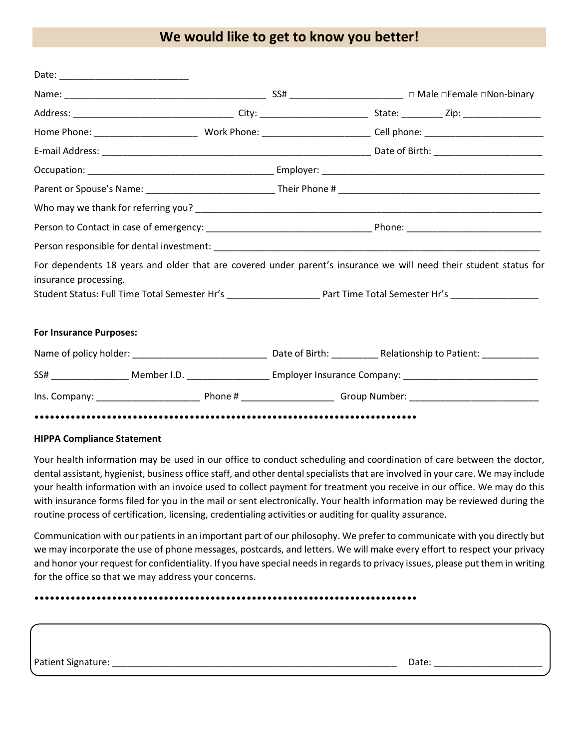### **We would like to get to know you better!**

| For dependents 18 years and older that are covered under parent's insurance we will need their student status for<br>insurance processing. |  |  |
|--------------------------------------------------------------------------------------------------------------------------------------------|--|--|
| Student Status: Full Time Total Semester Hr's ___________________________________ Part Time Total Semester Hr's ______________________     |  |  |
| <b>For Insurance Purposes:</b>                                                                                                             |  |  |
|                                                                                                                                            |  |  |
|                                                                                                                                            |  |  |
|                                                                                                                                            |  |  |
|                                                                                                                                            |  |  |

#### **HIPPA Compliance Statement**

Your health information may be used in our office to conduct scheduling and coordination of care between the doctor, dental assistant, hygienist, business office staff, and other dental specialists that are involved in your care. We may include your health information with an invoice used to collect payment for treatment you receive in our office. We may do this with insurance forms filed for you in the mail or sent electronically. Your health information may be reviewed during the routine process of certification, licensing, credentialing activities or auditing for quality assurance.

Communication with our patients in an important part of our philosophy. We prefer to communicate with you directly but we may incorporate the use of phone messages, postcards, and letters. We will make every effort to respect your privacy and honor your request for confidentiality. If you have special needs in regards to privacy issues, please put them in writing for the office so that we may address your concerns.

••••••••••••••••••••••••••••••••••••••••••••••••••••••••••••••••••••••••••

Patient Signature: \_\_\_\_\_\_\_\_\_\_\_\_\_\_\_\_\_\_\_\_\_\_\_\_\_\_\_\_\_\_\_\_\_\_\_\_\_\_\_\_\_\_\_\_\_\_\_\_\_\_\_\_\_\_\_ Date: \_\_\_\_\_\_\_\_\_\_\_\_\_\_\_\_\_\_\_\_\_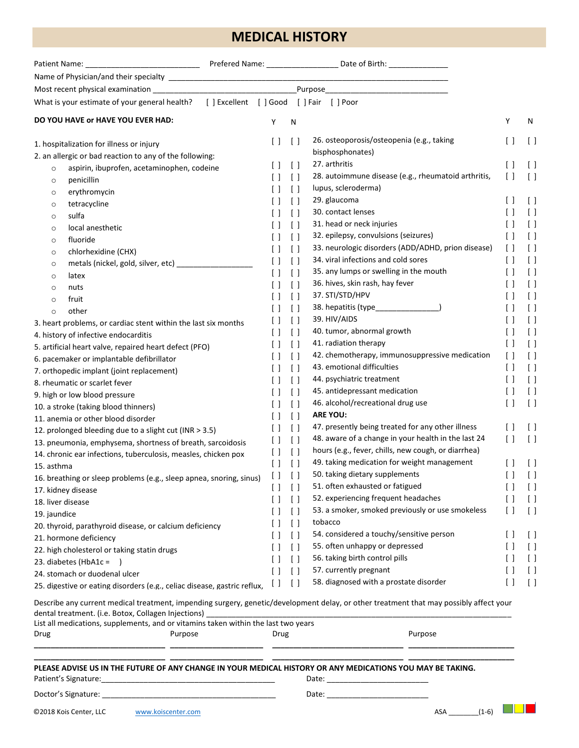## **MEDICAL HISTORY**

| What is your estimate of your general health? [ ] Excellent [ ] Good [ ] Fair [ ] Poor                                                                                                                                                                                                                           |                                               |                                                 |                                                     |                                               |                                               |
|------------------------------------------------------------------------------------------------------------------------------------------------------------------------------------------------------------------------------------------------------------------------------------------------------------------|-----------------------------------------------|-------------------------------------------------|-----------------------------------------------------|-----------------------------------------------|-----------------------------------------------|
| DO YOU HAVE or HAVE YOU EVER HAD:                                                                                                                                                                                                                                                                                | Υ                                             | N                                               |                                                     | Y                                             | N                                             |
| 1. hospitalization for illness or injury                                                                                                                                                                                                                                                                         | $\left[ \begin{array}{c} \end{array} \right]$ | $\Box$                                          | 26. osteoporosis/osteopenia (e.g., taking           | $\lceil$ $\rceil$                             | $\lceil$ $\rceil$                             |
| 2. an allergic or bad reaction to any of the following:                                                                                                                                                                                                                                                          |                                               |                                                 | bisphosphonates)                                    |                                               |                                               |
| aspirin, ibuprofen, acetaminophen, codeine<br>$\circ$                                                                                                                                                                                                                                                            | U                                             | $\lceil$                                        | 27. arthritis                                       | $\left[\begin{array}{c}1\end{array}\right]$   | $\left[ \quad \right]$                        |
| penicillin<br>$\circ$                                                                                                                                                                                                                                                                                            |                                               | $\begin{bmatrix} \end{bmatrix}$                 | 28. autoimmune disease (e.g., rheumatoid arthritis, | $\begin{bmatrix} \end{bmatrix}$               | [ ]                                           |
| erythromycin<br>$\circ$                                                                                                                                                                                                                                                                                          |                                               | $\left[ \begin{array}{c} \end{array} \right]$   | lupus, scleroderma)                                 |                                               |                                               |
| tetracycline<br>$\circ$                                                                                                                                                                                                                                                                                          |                                               | $\left[ \begin{array}{c} 1 \end{array} \right]$ | 29. glaucoma                                        | $\left[ \quad \right]$                        | $\lceil$ $\rceil$                             |
| sulfa<br>$\circ$                                                                                                                                                                                                                                                                                                 | $\perp$                                       | $\left[ \ \right]$                              | 30. contact lenses                                  | $\lceil$ $\rceil$                             | $\lceil$                                      |
| local anesthetic<br>$\circ$                                                                                                                                                                                                                                                                                      | $\perp$                                       | $\lceil$                                        | 31. head or neck injuries                           | $[\ ]$                                        | $\left[ \ \right]$                            |
| fluoride<br>$\circ$                                                                                                                                                                                                                                                                                              | $\Box$                                        | $\lceil$                                        | 32. epilepsy, convulsions (seizures)                | $\begin{bmatrix} \end{bmatrix}$               | $\begin{bmatrix} \end{bmatrix}$               |
| chlorhexidine (CHX)<br>$\circ$                                                                                                                                                                                                                                                                                   | $\Box$                                        | $\left[ \quad \right]$                          | 33. neurologic disorders (ADD/ADHD, prion disease)  | $\left[ \quad \right]$                        | $\lceil$ $\rceil$                             |
| metals (nickel, gold, silver, etc) _________________<br>$\circ$                                                                                                                                                                                                                                                  | $\left[ \begin{array}{c} \end{array} \right]$ | $\lceil$                                        | 34. viral infections and cold sores                 | $\lceil$ $\rceil$                             | $\lceil$ $\rceil$                             |
| latex<br>$\circ$                                                                                                                                                                                                                                                                                                 | $\left[ \ \right]$                            | $\left[ \quad \right]$                          | 35. any lumps or swelling in the mouth              | $\lceil$ $\rceil$                             | $\left[ \begin{array}{c} \end{array} \right]$ |
| nuts<br>$\circ$                                                                                                                                                                                                                                                                                                  | Ιl                                            | $\begin{bmatrix} \end{bmatrix}$                 | 36. hives, skin rash, hay fever                     | $\Box$                                        | $\left[ \begin{array}{c} \end{array} \right]$ |
| fruit<br>$\circ$                                                                                                                                                                                                                                                                                                 | $\left[ \begin{array}{c} \end{array} \right]$ | $\left[ \begin{array}{c} 1 \end{array} \right]$ | 37. STI/STD/HPV                                     | $\lceil$ $\rceil$                             | $\lceil$                                      |
| other<br>$\circ$                                                                                                                                                                                                                                                                                                 | $\left[ \ \right]$                            | $\left[ \begin{array}{c} \end{array} \right]$   |                                                     | $\begin{bmatrix} \end{bmatrix}$               | $\left[ \begin{array}{c} \end{array} \right]$ |
| 3. heart problems, or cardiac stent within the last six months                                                                                                                                                                                                                                                   | $\left[ \begin{array}{c} \end{array} \right]$ | $\left[ \begin{array}{c} 1 \end{array} \right]$ | 39. HIV/AIDS                                        | $[\ ]$                                        | $\left[ \begin{array}{c} \end{array} \right]$ |
| 4. history of infective endocarditis                                                                                                                                                                                                                                                                             | U                                             | $\left[ \begin{array}{c} \end{array} \right]$   | 40. tumor, abnormal growth                          | $[\ ]$                                        | $\lceil$                                      |
| 5. artificial heart valve, repaired heart defect (PFO)                                                                                                                                                                                                                                                           |                                               | $\lceil$ $\rceil$                               | 41. radiation therapy                               | $\left[ \begin{array}{c} \end{array} \right]$ | $\left[ \ \right]$                            |
| 6. pacemaker or implantable defibrillator                                                                                                                                                                                                                                                                        |                                               | $\begin{bmatrix} \end{bmatrix}$                 | 42. chemotherapy, immunosuppressive medication      | $\left[ \quad \right]$                        | $\left[ \begin{array}{c} \end{array} \right]$ |
| 7. orthopedic implant (joint replacement)                                                                                                                                                                                                                                                                        |                                               | $\left[ \ \right]$                              | 43. emotional difficulties                          | $\lceil$                                      | $\left[ \begin{array}{c} \end{array} \right]$ |
| 8. rheumatic or scarlet fever                                                                                                                                                                                                                                                                                    |                                               | $\left[ \ \right]$                              | 44. psychiatric treatment                           | $\left[ \begin{array}{c} \end{array} \right]$ | $\left[ \begin{array}{c} \end{array} \right]$ |
| 9. high or low blood pressure                                                                                                                                                                                                                                                                                    | $\left[ \ \right]$                            | $\left[ \ \right]$                              | 45. antidepressant medication                       | $\left[ \begin{array}{c} \end{array} \right]$ | $\left[ \begin{array}{c} \end{array} \right]$ |
| 10. a stroke (taking blood thinners)                                                                                                                                                                                                                                                                             | $\left[ \begin{array}{c} \end{array} \right]$ | $\begin{bmatrix} \end{bmatrix}$                 | 46. alcohol/recreational drug use                   | $\begin{bmatrix} \end{bmatrix}$               | $\lceil$                                      |
| 11. anemia or other blood disorder                                                                                                                                                                                                                                                                               | $\left[ \begin{array}{c} \end{array} \right]$ | $\lceil$                                        | <b>ARE YOU:</b>                                     |                                               |                                               |
| 12. prolonged bleeding due to a slight cut (INR > 3.5)                                                                                                                                                                                                                                                           | $\left[ \begin{array}{c} \end{array} \right]$ | $\begin{bmatrix} \end{bmatrix}$                 | 47. presently being treated for any other illness   | $\left[ \begin{array}{c} \end{array} \right]$ | $\lceil$ $\rceil$                             |
| 13. pneumonia, emphysema, shortness of breath, sarcoidosis                                                                                                                                                                                                                                                       | $\lceil$                                      | $\left[ \ \right]$                              | 48. aware of a change in your health in the last 24 | $\begin{bmatrix} \end{bmatrix}$               | $\lceil$                                      |
| 14. chronic ear infections, tuberculosis, measles, chicken pox                                                                                                                                                                                                                                                   | $\left[ \quad \right]$                        | $\left[ \quad \right]$                          | hours (e.g., fever, chills, new cough, or diarrhea) |                                               |                                               |
| 15. asthma                                                                                                                                                                                                                                                                                                       | $\left[ \quad \right]$                        | $\begin{bmatrix} \end{bmatrix}$                 | 49. taking medication for weight management         | $\left[\begin{array}{c}1\end{array}\right]$   | $\lceil$ $\rceil$                             |
| 16. breathing or sleep problems (e.g., sleep apnea, snoring, sinus) [1]                                                                                                                                                                                                                                          |                                               |                                                 | 50. taking dietary supplements                      | $\Box$                                        | $\lceil$                                      |
| 17. kidney disease                                                                                                                                                                                                                                                                                               | $\Box$                                        | $\lceil$                                        | 51. often exhausted or fatigued                     | $\Box$                                        | $\lceil$                                      |
| 18. liver disease                                                                                                                                                                                                                                                                                                | $\perp$                                       | $\lceil$                                        | 52. experiencing frequent headaches                 | $[\ ]$                                        | $\left[ \quad \right]$                        |
| 19. jaundice                                                                                                                                                                                                                                                                                                     | $\perp$                                       | $\left[ \quad \right]$                          | 53. a smoker, smoked previously or use smokeless    | $\left[\begin{array}{c}1\end{array}\right]$   | $\lceil$                                      |
| 20. thyroid, parathyroid disease, or calcium deficiency                                                                                                                                                                                                                                                          | U                                             | $\lceil$                                        | tobacco                                             |                                               |                                               |
| 21. hormone deficiency                                                                                                                                                                                                                                                                                           | $\perp$                                       | $\lceil$                                        | 54. considered a touchy/sensitive person            | $\Box$                                        | $\lceil$ $\rceil$                             |
| 22. high cholesterol or taking statin drugs                                                                                                                                                                                                                                                                      | Ιl                                            | $\left[ \ \right]$                              | 55. often unhappy or depressed                      | $\left[ \quad \right]$                        | $\left[ \begin{array}{c} \end{array} \right]$ |
| 23. diabetes (HbA1c = $\qquad$ )                                                                                                                                                                                                                                                                                 | $\lceil$ 1                                    | $\Box$                                          | 56. taking birth control pills                      | $\Box$                                        | $\left[ \begin{array}{c} \end{array} \right]$ |
| 24. stomach or duodenal ulcer                                                                                                                                                                                                                                                                                    | $\left[ \quad \right]$                        | $\Box$                                          | 57. currently pregnant                              | $\Box$                                        | $\left[ \begin{array}{c} \end{array} \right]$ |
| 25. digestive or eating disorders (e.g., celiac disease, gastric reflux,                                                                                                                                                                                                                                         | $\lceil$                                      | $\lceil$                                        | 58. diagnosed with a prostate disorder              | $\begin{bmatrix} \end{bmatrix}$               | $\lceil$ $\rceil$                             |
| Describe any current medical treatment, impending surgery, genetic/development delay, or other treatment that may possibly affect your<br>dental treatment. (i.e. Botox, Collagen Injections) ____________________________<br>List all medications, supplements, and or vitamins taken within the last two years |                                               |                                                 |                                                     |                                               |                                               |
| Drug<br>Purpose                                                                                                                                                                                                                                                                                                  | Drug                                          |                                                 | Purpose                                             |                                               |                                               |
| PLEASE ADVISE US IN THE FUTURE OF ANY CHANGE IN YOUR MEDICAL HISTORY OR ANY MEDICATIONS YOU MAY BE TAKING.                                                                                                                                                                                                       |                                               |                                                 |                                                     |                                               |                                               |
|                                                                                                                                                                                                                                                                                                                  |                                               |                                                 |                                                     |                                               |                                               |
| ©2018 Kois Center, LLC<br>www.koiscenter.com                                                                                                                                                                                                                                                                     |                                               |                                                 | $(1-6)$<br>ASA                                      |                                               |                                               |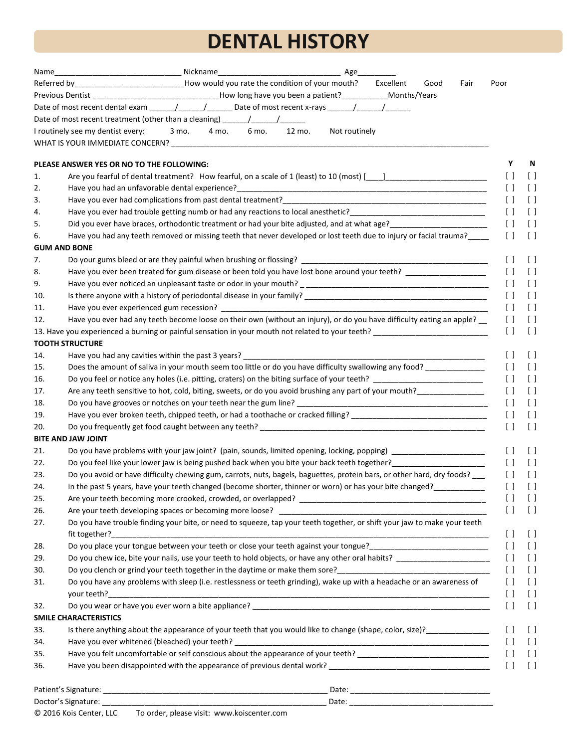# **DENTAL HISTORY**

| Name | Age                                                                                                                                                                                                                           |
|------|-------------------------------------------------------------------------------------------------------------------------------------------------------------------------------------------------------------------------------|
|      | Referred by_____________________________How would you rate the condition of your mouth?<br>Excellent<br>Good<br>Fair                                                                                                          |
|      | Previous Dentist ________________________________How long have you been a patient?___________Months/Years                                                                                                                     |
|      |                                                                                                                                                                                                                               |
|      | Date of most recent treatment (other than a cleaning) _______/________/_________                                                                                                                                              |
|      | I routinely see my dentist every: 3 mo. 4 mo. 6 mo.<br>12 mo.<br>Not routinely                                                                                                                                                |
|      |                                                                                                                                                                                                                               |
|      | PLEASE ANSWER YES OR NO TO THE FOLLOWING:                                                                                                                                                                                     |
| 1.   | Are you fearful of dental treatment? How fearful, on a scale of 1 (least) to 10 (most) [141] [142] [142] Are you fearful of dental treatment? How fearful, on a scale of 1 (least) to 10 (most) [142] [142] [142] [142] [142] |
| 2.   |                                                                                                                                                                                                                               |
| 3.   |                                                                                                                                                                                                                               |
| 4.   |                                                                                                                                                                                                                               |
| 5.   |                                                                                                                                                                                                                               |
| 6.   | Have you had any teeth removed or missing teeth that never developed or lost teeth due to injury or facial trauma?____                                                                                                        |
|      | <b>GUM AND BONE</b>                                                                                                                                                                                                           |
| 7.   |                                                                                                                                                                                                                               |
| 8.   | Have you ever been treated for gum disease or been told you have lost bone around your teeth?                                                                                                                                 |
| 9.   |                                                                                                                                                                                                                               |
| 10.  |                                                                                                                                                                                                                               |
| 11.  |                                                                                                                                                                                                                               |
| 12.  | Have you ever had any teeth become loose on their own (without an injury), or do you have difficulty eating an apple? __                                                                                                      |
|      |                                                                                                                                                                                                                               |
|      | <b>TOOTH STRUCTURE</b>                                                                                                                                                                                                        |
| 14.  | Have you had any cavities within the past 3 years? _____________                                                                                                                                                              |
| 15.  | Does the amount of saliva in your mouth seem too little or do you have difficulty swallowing any food? _____________                                                                                                          |
| 16.  | Do you feel or notice any holes (i.e. pitting, craters) on the biting surface of your teeth? ____________________                                                                                                             |
| 17.  | Are any teeth sensitive to hot, cold, biting, sweets, or do you avoid brushing any part of your mouth?                                                                                                                        |
| 18.  |                                                                                                                                                                                                                               |
| 19.  | Have you ever broken teeth, chipped teeth, or had a toothache or cracked filling? __________________________________                                                                                                          |
| 20.  |                                                                                                                                                                                                                               |
|      | <b>BITE AND JAW JOINT</b>                                                                                                                                                                                                     |
| 21.  | Do you have problems with your jaw joint? (pain, sounds, limited opening, locking, popping) __________________                                                                                                                |
| 22.  | Do you feel like your lower jaw is being pushed back when you bite your back teeth together?__________________                                                                                                                |
| 23.  | Do you avoid or have difficulty chewing gum, carrots, nuts, bagels, baguettes, protein bars, or other hard, dry foods?                                                                                                        |
| 24.  | In the past 5 years, have your teeth changed (become shorter, thinner or worn) or has your bite changed?____                                                                                                                  |
| 25.  |                                                                                                                                                                                                                               |
| 26.  |                                                                                                                                                                                                                               |
| 27.  | Do you have trouble finding your bite, or need to squeeze, tap your teeth together, or shift your jaw to make your teeth                                                                                                      |
|      |                                                                                                                                                                                                                               |
| 28.  |                                                                                                                                                                                                                               |
| 29.  |                                                                                                                                                                                                                               |
| 30.  |                                                                                                                                                                                                                               |
| 31.  | Do you have any problems with sleep (i.e. restlessness or teeth grinding), wake up with a headache or an awareness of                                                                                                         |
| 32.  |                                                                                                                                                                                                                               |
|      | <b>SMILE CHARACTERISTICS</b>                                                                                                                                                                                                  |
| 33.  |                                                                                                                                                                                                                               |
| 34.  |                                                                                                                                                                                                                               |
| 35.  | Have you felt uncomfortable or self conscious about the appearance of your teeth? ____________________________                                                                                                                |
| 36.  |                                                                                                                                                                                                                               |
|      |                                                                                                                                                                                                                               |
|      |                                                                                                                                                                                                                               |
|      |                                                                                                                                                                                                                               |

© 2016 Kois Center, LLC To order, please visit: www.koiscenter.com